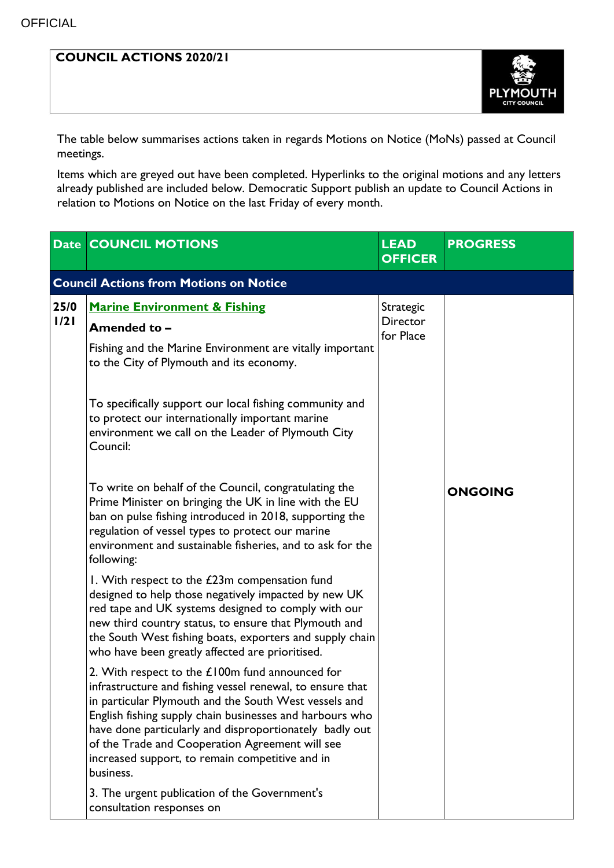## **COUNCIL ACTIONS 2020/21**



The table below summarises actions taken in regards Motions on Notice (MoNs) passed at Council meetings.

Items which are greyed out have been completed. Hyperlinks to the original motions and any letters already published are included below. Democratic Support publish an update to Council Actions in relation to Motions on Notice on the last Friday of every month.

|                                               | <b>Date COUNCIL MOTIONS</b>                                                                                                                                                                                                                                                                                                                                                                                       | <b>LEAD</b><br><b>OFFICER</b>             | <b>PROGRESS</b> |  |  |  |
|-----------------------------------------------|-------------------------------------------------------------------------------------------------------------------------------------------------------------------------------------------------------------------------------------------------------------------------------------------------------------------------------------------------------------------------------------------------------------------|-------------------------------------------|-----------------|--|--|--|
| <b>Council Actions from Motions on Notice</b> |                                                                                                                                                                                                                                                                                                                                                                                                                   |                                           |                 |  |  |  |
| 25/0<br>1/21                                  | <b>Marine Environment &amp; Fishing</b><br>Amended to -<br>Fishing and the Marine Environment are vitally important<br>to the City of Plymouth and its economy.                                                                                                                                                                                                                                                   | Strategic<br><b>Director</b><br>for Place |                 |  |  |  |
|                                               | To specifically support our local fishing community and<br>to protect our internationally important marine<br>environment we call on the Leader of Plymouth City<br>Council:                                                                                                                                                                                                                                      |                                           |                 |  |  |  |
|                                               | To write on behalf of the Council, congratulating the<br>Prime Minister on bringing the UK in line with the EU<br>ban on pulse fishing introduced in 2018, supporting the<br>regulation of vessel types to protect our marine<br>environment and sustainable fisheries, and to ask for the<br>following:                                                                                                          |                                           | <b>ONGOING</b>  |  |  |  |
|                                               | I. With respect to the £23m compensation fund<br>designed to help those negatively impacted by new UK<br>red tape and UK systems designed to comply with our<br>new third country status, to ensure that Plymouth and<br>the South West fishing boats, exporters and supply chain<br>who have been greatly affected are prioritised.                                                                              |                                           |                 |  |  |  |
|                                               | 2. With respect to the $£100m$ fund announced for<br>infrastructure and fishing vessel renewal, to ensure that<br>in particular Plymouth and the South West vessels and<br>English fishing supply chain businesses and harbours who<br>have done particularly and disproportionately badly out<br>of the Trade and Cooperation Agreement will see<br>increased support, to remain competitive and in<br>business. |                                           |                 |  |  |  |
|                                               | 3. The urgent publication of the Government's<br>consultation responses on                                                                                                                                                                                                                                                                                                                                        |                                           |                 |  |  |  |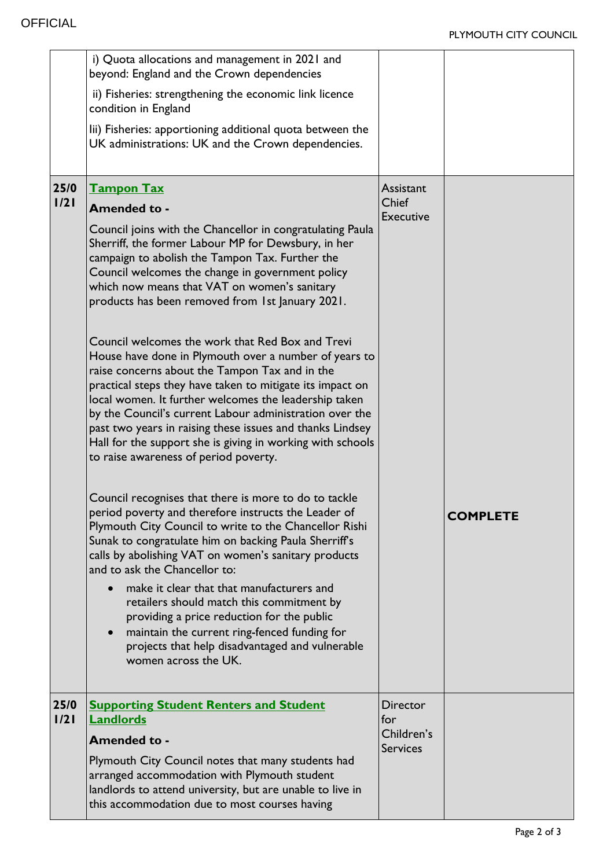|              | i) Quota allocations and management in 2021 and<br>beyond: England and the Crown dependencies<br>ii) Fisheries: strengthening the economic link licence<br>condition in England<br>lii) Fisheries: apportioning additional quota between the<br>UK administrations: UK and the Crown dependencies.                                                                                                                                                                                                                                                                                                                                                                                                                                                                                                                                                                                                                                                                                                                                                                                                                                                                                                                                                                                                                                                                                                                                                                                          |                                                         |                 |
|--------------|---------------------------------------------------------------------------------------------------------------------------------------------------------------------------------------------------------------------------------------------------------------------------------------------------------------------------------------------------------------------------------------------------------------------------------------------------------------------------------------------------------------------------------------------------------------------------------------------------------------------------------------------------------------------------------------------------------------------------------------------------------------------------------------------------------------------------------------------------------------------------------------------------------------------------------------------------------------------------------------------------------------------------------------------------------------------------------------------------------------------------------------------------------------------------------------------------------------------------------------------------------------------------------------------------------------------------------------------------------------------------------------------------------------------------------------------------------------------------------------------|---------------------------------------------------------|-----------------|
| 25/0<br>1/21 | <b>Tampon Tax</b><br><b>Amended to -</b><br>Council joins with the Chancellor in congratulating Paula<br>Sherriff, the former Labour MP for Dewsbury, in her<br>campaign to abolish the Tampon Tax. Further the<br>Council welcomes the change in government policy<br>which now means that VAT on women's sanitary<br>products has been removed from 1st January 2021.<br>Council welcomes the work that Red Box and Trevi<br>House have done in Plymouth over a number of years to<br>raise concerns about the Tampon Tax and in the<br>practical steps they have taken to mitigate its impact on<br>local women. It further welcomes the leadership taken<br>by the Council's current Labour administration over the<br>past two years in raising these issues and thanks Lindsey<br>Hall for the support she is giving in working with schools<br>to raise awareness of period poverty.<br>Council recognises that there is more to do to tackle<br>period poverty and therefore instructs the Leader of<br>Plymouth City Council to write to the Chancellor Rishi<br>Sunak to congratulate him on backing Paula Sherriff's<br>calls by abolishing VAT on women's sanitary products<br>and to ask the Chancellor to:<br>make it clear that that manufacturers and<br>retailers should match this commitment by<br>providing a price reduction for the public<br>maintain the current ring-fenced funding for<br>projects that help disadvantaged and vulnerable<br>women across the UK. | Assistant<br>Chief<br><b>Executive</b>                  | <b>COMPLETE</b> |
| 25/0<br>1/21 | <b>Supporting Student Renters and Student</b><br><b>Landlords</b><br><b>Amended to -</b><br>Plymouth City Council notes that many students had<br>arranged accommodation with Plymouth student<br>landlords to attend university, but are unable to live in<br>this accommodation due to most courses having                                                                                                                                                                                                                                                                                                                                                                                                                                                                                                                                                                                                                                                                                                                                                                                                                                                                                                                                                                                                                                                                                                                                                                                | <b>Director</b><br>for<br>Children's<br><b>Services</b> |                 |